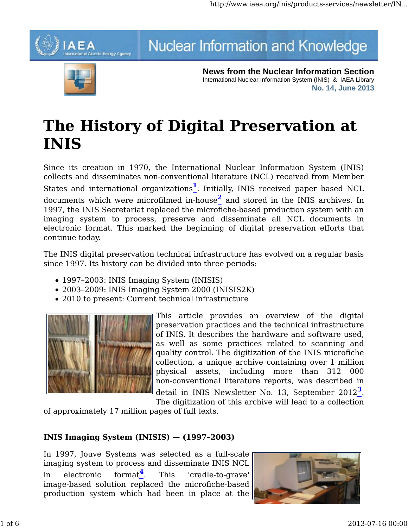# AFA ial Atomic Energy Agency

# Nuclear Information and Knowledge



**News from the Nuclear Information Section** International Nuclear Information System (INIS) & IAEA Library **No. 14, June 2013**

# **The History of Digital Preservation at INIS**

Since its creation in 1970, the International Nuclear Information System (INIS) collects and disseminates non-conventional literature (NCL) received from Member States and international organizations**1**. Initially, INIS received paper based NCL documents which were microfilmed in-house**2** and stored in the INIS archives. In 1997, the INIS Secretariat replaced the microfiche-based production system with an imaging system to process, preserve and disseminate all NCL documents in electronic format. This marked the beginning of digital preservation efforts that continue today.

The INIS digital preservation technical infrastructure has evolved on a regular basis since 1997. Its history can be divided into three periods:

- 1997–2003: INIS Imaging System (INISIS)
- 2003–2009: INIS Imaging System 2000 (INISIS2K)
- 2010 to present: Current technical infrastructure



This article provides an overview of the digital preservation practices and the technical infrastructure of INIS. It describes the hardware and software used, as well as some practices related to scanning and quality control. The digitization of the INIS microfiche collection, a unique archive containing over 1 million physical assets, including more than 312 000 non-conventional literature reports, was described in detail in INIS Newsletter No. 13, September 2012**3**.

The digitization of this archive will lead to a collection

of approximately 17 million pages of full texts.

## **INIS Imaging System (INISIS) — (1997–2003)**

In 1997, Jouve Systems was selected as a full-scale imaging system to process and disseminate INIS NCL in electronic format**4**. This 'cradle-to-grave' image-based solution replaced the microfiche-based production system which had been in place at the

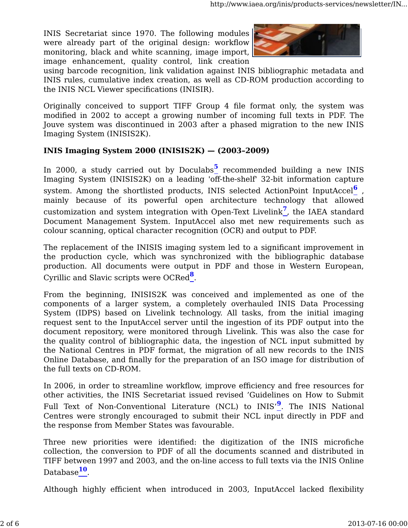INIS Secretariat since 1970. The following modules were already part of the original design: workflow monitoring, black and white scanning, image import, image enhancement, quality control, link creation



using barcode recognition, link validation against INIS bibliographic metadata and INIS rules, cumulative index creation, as well as CD-ROM production according to the INIS NCL Viewer specifications (INISIR).

Originally conceived to support TIFF Group 4 file format only, the system was modified in 2002 to accept a growing number of incoming full texts in PDF. The Jouve system was discontinued in 2003 after a phased migration to the new INIS Imaging System (INISIS2K).

### **INIS Imaging System 2000 (INISIS2K) — (2003–2009)**

In 2000, a study carried out by Doculabs<sup>5</sup> recommended building a new INIS Imaging System (INISIS2K) on a leading 'off-the-shelf' 32-bit information capture system. Among the shortlisted products, INIS selected ActionPoint InputAccel**6** , mainly because of its powerful open architecture technology that allowed customization and system integration with Open-Text Livelink**7**, the IAEA standard Document Management System. InputAccel also met new requirements such as colour scanning, optical character recognition (OCR) and output to PDF.

The replacement of the INISIS imaging system led to a significant improvement in the production cycle, which was synchronized with the bibliographic database production. All documents were output in PDF and those in Western European, Cyrillic and Slavic scripts were OCRed**8**.

From the beginning, INISIS2K was conceived and implemented as one of the components of a larger system, a completely overhauled INIS Data Processing System (IDPS) based on Livelink technology. All tasks, from the initial imaging request sent to the InputAccel server until the ingestion of its PDF output into the document repository, were monitored through Livelink. This was also the case for the quality control of bibliographic data, the ingestion of NCL input submitted by the National Centres in PDF format, the migration of all new records to the INIS Online Database, and finally for the preparation of an ISO image for distribution of the full texts on CD-ROM.

In 2006, in order to streamline workflow, improve efficiency and free resources for other activities, the INIS Secretariat issued revised 'Guidelines on How to Submit Full Text of Non-Conventional Literature (NCL) to INIS'**9**. The INIS National Centres were strongly encouraged to submit their NCL input directly in PDF and the response from Member States was favourable.

Three new priorities were identified: the digitization of the INIS microfiche collection, the conversion to PDF of all the documents scanned and distributed in TIFF between 1997 and 2003, and the on-line access to full texts via the INIS Online Database**10**.

Although highly efficient when introduced in 2003, InputAccel lacked flexibility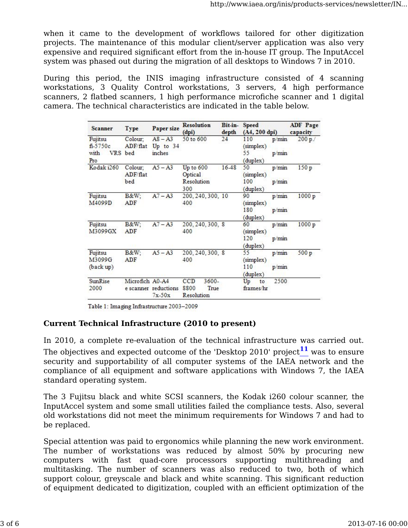when it came to the development of workflows tailored for other digitization projects. The maintenance of this modular client/server application was also very expensive and required significant effort from the in-house IT group. The InputAccel system was phased out during the migration of all desktops to Windows 7 in 2010.

During this period, the INIS imaging infrastructure consisted of 4 scanning workstations, 3 Quality Control workstations, 3 servers, 4 high performance scanners, 2 flatbed scanners, 1 high performance microfiche scanner and 1 digital camera. The technical characteristics are indicated in the table below.

| <b>Scanner</b>                                  | <b>Type</b>                | Paper size                       | <b>Resolution</b><br>(dpi)                 | depth     | Bit-in-Speed<br>$(A4, 200$ dpi)                      | <b>ADF</b> Page<br>capacity |
|-------------------------------------------------|----------------------------|----------------------------------|--------------------------------------------|-----------|------------------------------------------------------|-----------------------------|
| Fujitsu<br>$f_1 - 5750c$<br>with VRS bed<br>Pro | Colour;<br>ADF/flat        | $AS - A3$<br>Up to 34<br>inches  | 50 to 600                                  | 24        | 110<br>p/min<br>(simplex)<br>55<br>p/min<br>(duplex) | 200 p                       |
| Kodak i260                                      | Colour;<br>ADF/flat<br>bed | $A5 - A3$                        | Up to 600<br>Optical<br>Resolution<br>300  | $16 - 48$ | 50<br>p/min<br>(simplex)<br>100<br>p/min<br>(duplex) | 150p                        |
| Fujitsu<br>M4099D                               | $B\&W$ :<br>ADF            | $A7 - A3$                        | 200, 240, 300, 10<br>400                   |           | p/min<br>90<br>(simplex)<br>180<br>p/min<br>(duplex) | 1000 p                      |
| Fujitsu<br>M3099GX                              | $B\&W$<br>ADF              | $A7 - A3$                        | 200, 240, 300, 8<br>400                    |           | p/min<br>60<br>(simplex)<br>120<br>p/min<br>(duplex) | 1000 p                      |
| Fujitsu<br>M3099G<br>(back up)                  | B&W:<br>ADF                | $A5 - A3$                        | 200, 240, 300, 8<br>400                    |           | p/min<br>55<br>(simplex)<br>110<br>p/min<br>(duplex) | 500 p                       |
| <b>SunRise</b><br>2000                          | Microfich A0-A4            | e scanner reductions<br>$7x-50x$ | 3600-<br>CCD<br>8800<br>True<br>Resolution |           | 2500<br>Up<br>to<br>frames/hr                        |                             |

Table 1: Imaging Infrastructure 2003-2009

### **Current Technical Infrastructure (2010 to present)**

In 2010, a complete re-evaluation of the technical infrastructure was carried out. The objectives and expected outcome of the 'Desktop 2010' project<sup>11</sup> was to ensure security and supportability of all computer systems of the IAEA network and the compliance of all equipment and software applications with Windows 7, the IAEA standard operating system.

The 3 Fujitsu black and white SCSI scanners, the Kodak i260 colour scanner, the InputAccel system and some small utilities failed the compliance tests. Also, several old workstations did not meet the minimum requirements for Windows 7 and had to be replaced.

Special attention was paid to ergonomics while planning the new work environment. The number of workstations was reduced by almost 50% by procuring new computers with fast quad-core processors supporting multithreading and multitasking. The number of scanners was also reduced to two, both of which support colour, greyscale and black and white scanning. This significant reduction of equipment dedicated to digitization, coupled with an efficient optimization of the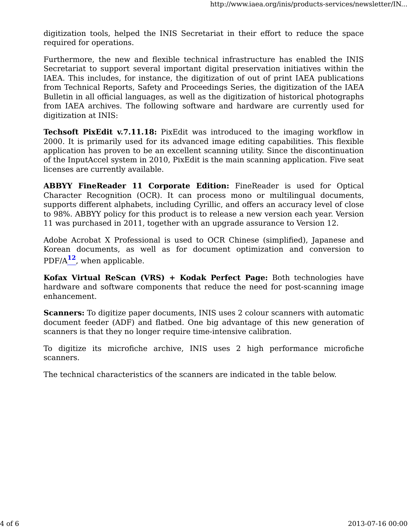digitization tools, helped the INIS Secretariat in their effort to reduce the space required for operations.

Furthermore, the new and flexible technical infrastructure has enabled the INIS Secretariat to support several important digital preservation initiatives within the IAEA. This includes, for instance, the digitization of out of print IAEA publications from Technical Reports, Safety and Proceedings Series, the digitization of the IAEA Bulletin in all official languages, as well as the digitization of historical photographs from IAEA archives. The following software and hardware are currently used for digitization at INIS:

**Techsoft PixEdit v.7.11.18:** PixEdit was introduced to the imaging workflow in 2000. It is primarily used for its advanced image editing capabilities. This flexible application has proven to be an excellent scanning utility. Since the discontinuation of the InputAccel system in 2010, PixEdit is the main scanning application. Five seat licenses are currently available.

**ABBYY FineReader 11 Corporate Edition:** FineReader is used for Optical Character Recognition (OCR). It can process mono or multilingual documents, supports different alphabets, including Cyrillic, and offers an accuracy level of close to 98%. ABBYY policy for this product is to release a new version each year. Version 11 was purchased in 2011, together with an upgrade assurance to Version 12.

Adobe Acrobat X Professional is used to OCR Chinese (simplified), Japanese and Korean documents, as well as for document optimization and conversion to PDF/A**12**, when applicable.

**Kofax Virtual ReScan (VRS) + Kodak Perfect Page:** Both technologies have hardware and software components that reduce the need for post-scanning image enhancement.

**Scanners:** To digitize paper documents, INIS uses 2 colour scanners with automatic document feeder (ADF) and flatbed. One big advantage of this new generation of scanners is that they no longer require time-intensive calibration.

To digitize its microfiche archive, INIS uses 2 high performance microfiche scanners.

The technical characteristics of the scanners are indicated in the table below.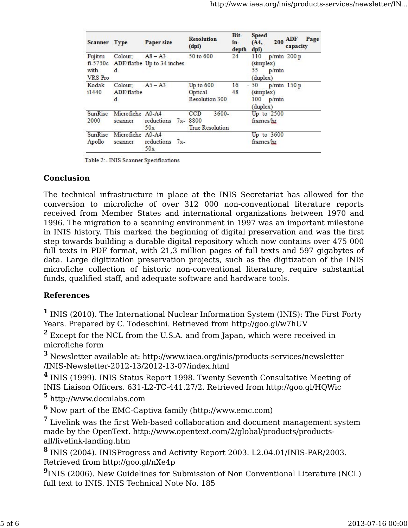| Scanner Type               |                             | Paper size                                       | <b>Resolution</b><br>(dpi)                            | Bit-<br>in-<br>depth | <b>Speed</b><br>$200$ ADF<br>Page<br>(A4,<br>capacity<br>dpi)  |
|----------------------------|-----------------------------|--------------------------------------------------|-------------------------------------------------------|----------------------|----------------------------------------------------------------|
| Fujitsu<br>with<br>VRS Pro | Colour;<br>d                | $As - A3$<br>fi-5750c ADF/flatbe Up to 34 inches | 50 to 600                                             | 24                   | p/min 200 p<br>110<br>(simplex)<br>55<br>p/min<br>(duplex)     |
| Kodak<br>i1440             | Colour;<br>ADF/flatbe<br>d  | $A5 - A3$                                        | Up to 600<br>Optical<br>Resolution 300                | 16<br>۰<br>48        | $p/min$ 150 $p$<br>50<br>(simplex)<br>100<br>p/min<br>(duplex) |
| SunRise<br>2000            | Microfiche A0-A4<br>scanner | reductions<br>50x                                | 3600-<br>CCD<br>$7x - 8800$<br><b>True Resolution</b> |                      | Up to 2500<br>frames/hr                                        |
| <b>SunRise</b><br>Apollo   | Microfiche<br>scanner       | $A0 - A4$<br>reductions 7x-<br>50x               |                                                       |                      | Up to $3600$<br>frames/hr                                      |

Table 2:- INIS Scanner Specifications

#### **Conclusion**

The technical infrastructure in place at the INIS Secretariat has allowed for the conversion to microfiche of over 312 000 non-conventional literature reports received from Member States and international organizations between 1970 and 1996. The migration to a scanning environment in 1997 was an important milestone in INIS history. This marked the beginning of digital preservation and was the first step towards building a durable digital repository which now contains over 475 000 full texts in PDF format, with 21,3 million pages of full texts and 597 gigabytes of data. Large digitization preservation projects, such as the digitization of the INIS microfiche collection of historic non-conventional literature, require substantial funds, qualified staff, and adequate software and hardware tools.

### **References**

**<sup>1</sup>** INIS (2010). The International Nuclear Information System (INIS): The First Forty Years. Prepared by C. Todeschini. Retrieved from http://goo.gl/w7hUV

**<sup>2</sup>** Except for the NCL from the U.S.A. and from Japan, which were received in microfiche form

**<sup>3</sup>** Newsletter available at: http://www.iaea.org/inis/products-services/newsletter /INIS-Newsletter-2012-13/2012-13-07/index.html

**<sup>4</sup>** INIS (1999). INIS Status Report 1998. Twenty Seventh Consultative Meeting of INIS Liaison Officers. 631-L2-TC-441.27/2. Retrieved from http://goo.gl/HQWic

**<sup>5</sup>** http://www.doculabs.com

**<sup>6</sup>** Now part of the EMC-Captiva family (http://www.emc.com)

**<sup>7</sup>** Livelink was the first Web-based collaboration and document management system made by the OpenText. http://www.opentext.com/2/global/products/productsall/livelink-landing.htm

**<sup>8</sup>** INIS (2004). INISProgress and Activity Report 2003. L2.04.01/INIS-PAR/2003. Retrieved from http://goo.gl/nXe4p

**<sup>9</sup>**INIS (2006). New Guidelines for Submission of Non Conventional Literature (NCL) full text to INIS. INIS Technical Note No. 185